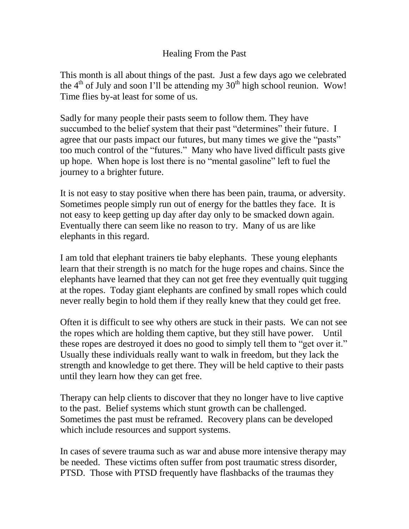## Healing From the Past

This month is all about things of the past. Just a few days ago we celebrated the  $4<sup>th</sup>$  of July and soon I'll be attending my  $30<sup>th</sup>$  high school reunion. Wow! Time flies by-at least for some of us.

Sadly for many people their pasts seem to follow them. They have succumbed to the belief system that their past "determines" their future. I agree that our pasts impact our futures, but many times we give the "pasts" too much control of the "futures." Many who have lived difficult pasts give up hope. When hope is lost there is no "mental gasoline" left to fuel the journey to a brighter future.

It is not easy to stay positive when there has been pain, trauma, or adversity. Sometimes people simply run out of energy for the battles they face. It is not easy to keep getting up day after day only to be smacked down again. Eventually there can seem like no reason to try. Many of us are like elephants in this regard.

I am told that elephant trainers tie baby elephants. These young elephants learn that their strength is no match for the huge ropes and chains. Since the elephants have learned that they can not get free they eventually quit tugging at the ropes. Today giant elephants are confined by small ropes which could never really begin to hold them if they really knew that they could get free.

Often it is difficult to see why others are stuck in their pasts. We can not see the ropes which are holding them captive, but they still have power. Until these ropes are destroyed it does no good to simply tell them to "get over it." Usually these individuals really want to walk in freedom, but they lack the strength and knowledge to get there. They will be held captive to their pasts until they learn how they can get free.

Therapy can help clients to discover that they no longer have to live captive to the past. Belief systems which stunt growth can be challenged. Sometimes the past must be reframed. Recovery plans can be developed which include resources and support systems.

In cases of severe trauma such as war and abuse more intensive therapy may be needed. These victims often suffer from post traumatic stress disorder, PTSD. Those with PTSD frequently have flashbacks of the traumas they